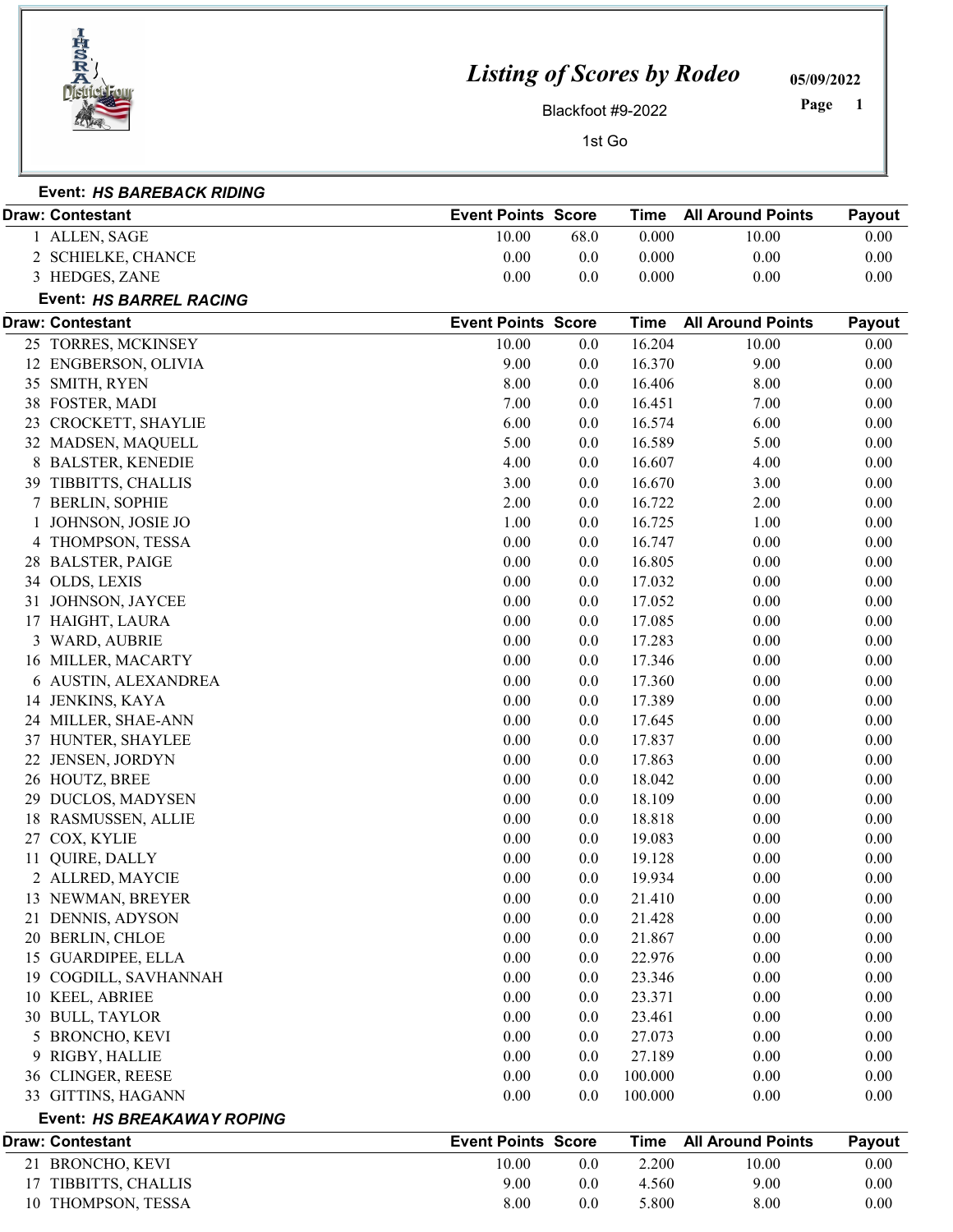

Event: HS BAREBACK RIDING

## Listing of Scores by Rodeo

05/09/2022

Blackfoot #9-2022

 Page

|    | ALLEN, SAGE             | 10.00                     | 68.0 | 0.000       | 10.00                    | 0.00     |
|----|-------------------------|---------------------------|------|-------------|--------------------------|----------|
|    | 2 SCHIELKE, CHANCE      | $0.00\,$                  | 0.0  | 0.000       | 0.00                     | 0.00     |
|    | 3 HEDGES, ZANE          | 0.00                      | 0.0  | 0.000       | 0.00                     | 0.00     |
|    | Event: HS BARREL RACING |                           |      |             |                          |          |
|    | <b>Draw: Contestant</b> | <b>Event Points Score</b> |      | <b>Time</b> | <b>All Around Points</b> | Payout   |
|    | 25 TORRES, MCKINSEY     | 10.00                     | 0.0  | 16.204      | 10.00                    | $0.00\,$ |
| 12 | ENGBERSON, OLIVIA       | 9.00                      | 0.0  | 16.370      | 9.00                     | 0.00     |
| 35 | SMITH, RYEN             | 8.00                      | 0.0  | 16.406      | 8.00                     | 0.00     |
| 38 | <b>FOSTER, MADI</b>     | 7.00                      | 0.0  | 16.451      | 7.00                     | 0.00     |
| 23 | CROCKETT, SHAYLIE       | 6.00                      | 0.0  | 16.574      | 6.00                     | 0.00     |
|    | 32 MADSEN, MAQUELL      | 5.00                      | 0.0  | 16.589      | 5.00                     | 0.00     |
|    | <b>BALSTER, KENEDIE</b> | 4.00                      | 0.0  | 16.607      | 4.00                     | 0.00     |
| 39 | TIBBITTS, CHALLIS       | 3.00                      | 0.0  | 16.670      | 3.00                     | 0.00     |
|    | <b>BERLIN, SOPHIE</b>   | 2.00                      | 0.0  | 16.722      | 2.00                     | 0.00     |
|    | JOHNSON, JOSIE JO       | 1.00                      | 0.0  | 16.725      | 1.00                     | 0.00     |
| 4  | THOMPSON, TESSA         | $0.00\,$                  | 0.0  | 16.747      | 0.00                     | 0.00     |
| 28 | <b>BALSTER, PAIGE</b>   | 0.00                      | 0.0  | 16.805      | 0.00                     | 0.00     |
|    | 34 OLDS, LEXIS          | 0.00                      | 0.0  | 17.032      | 0.00                     | 0.00     |
| 31 | JOHNSON, JAYCEE         | 0.00                      | 0.0  | 17.052      | 0.00                     | 0.00     |
|    | HAIGHT, LAURA           | 0.00                      | 0.0  | 17.085      | 0.00                     | 0.00     |
|    | 3 WARD, AUBRIE          | 0.00                      | 0.0  | 17.283      | 0.00                     | 0.00     |
|    | 16 MILLER, MACARTY      | 0.00                      | 0.0  | 17.346      | 0.00                     | 0.00     |
| 6  | AUSTIN, ALEXANDREA      | 0.00                      | 0.0  | 17.360      | 0.00                     | 0.00     |
| 14 | JENKINS, KAYA           | $0.00\,$                  | 0.0  | 17.389      | 0.00                     | 0.00     |
| 24 | MILLER, SHAE-ANN        | 0.00                      | 0.0  | 17.645      | 0.00                     | 0.00     |
| 37 | HUNTER, SHAYLEE         | 0.00                      | 0.0  | 17.837      | 0.00                     | 0.00     |
| 22 | JENSEN, JORDYN          | $0.00\,$                  | 0.0  | 17.863      | 0.00                     | 0.00     |
|    | 26 HOUTZ, BREE          | 0.00                      | 0.0  | 18.042      | 0.00                     | 0.00     |
| 29 | DUCLOS, MADYSEN         | 0.00                      | 0.0  | 18.109      | 0.00                     | 0.00     |
|    | 18 RASMUSSEN, ALLIE     | 0.00                      | 0.0  | 18.818      | 0.00                     | 0.00     |
| 27 | COX, KYLIE              | 0.00                      | 0.0  | 19.083      | 0.00                     | 0.00     |
| 11 | QUIRE, DALLY            | $0.00\,$                  | 0.0  | 19.128      | 0.00                     | 0.00     |
|    | 2 ALLRED, MAYCIE        | 0.00                      | 0.0  | 19.934      | 0.00                     | 0.00     |
| 13 | NEWMAN, BREYER          | 0.00                      | 0.0  | 21.410      | 0.00                     | 0.00     |
| 21 | DENNIS, ADYSON          | 0.00                      | 0.0  | 21.428      | 0.00                     | 0.00     |
|    | 20 BERLIN, CHLOE        | 0.00                      | 0.0  | 21.867      | 0.00                     | 0.00     |
|    | 15 GUARDIPEE, ELLA      | $0.00\,$                  | 0.0  | 22.976      | 0.00                     | 0.00     |
| 19 | COGDILL, SAVHANNAH      | 0.00                      | 0.0  | 23.346      | 0.00                     | 0.00     |
| 10 | KEEL, ABRIEE            | 0.00                      | 0.0  | 23.371      | 0.00                     | 0.00     |
|    | 30 BULL, TAYLOR         | 0.00                      | 0.0  | 23.461      | 0.00                     | 0.00     |
|    | 5 BRONCHO, KEVI         | 0.00                      | 0.0  | 27.073      | 0.00                     | 0.00     |
| 9  | RIGBY, HALLIE           | 0.00                      | 0.0  | 27.189      | 0.00                     | 0.00     |
|    | 36 CLINGER, REESE       | $0.00\,$                  | 0.0  | 100.000     | $0.00\,$                 | 0.00     |

Draw: Contestant **Superint Contestant** Contestant Contestant Contestant All Around Points Payout

## Event: HS BREAKAWAY ROPING Draw: Contestant **Score Time All Around Points Payout** Event Points Score Time All Around Points Payout 21 BRONCHO, KEVI 10.00 10.00 0.0 2.200 10.00 0.00 TIBBITTS, CHALLIS 9.00 9.00 0.00 0.0 4.560 10 THOMPSON, TESSA 8.00 8.00 0.00 5.800 8.00 0.00 0.00

GITTINS, HAGANN 0.00 0.00 0.00 0.0 100.000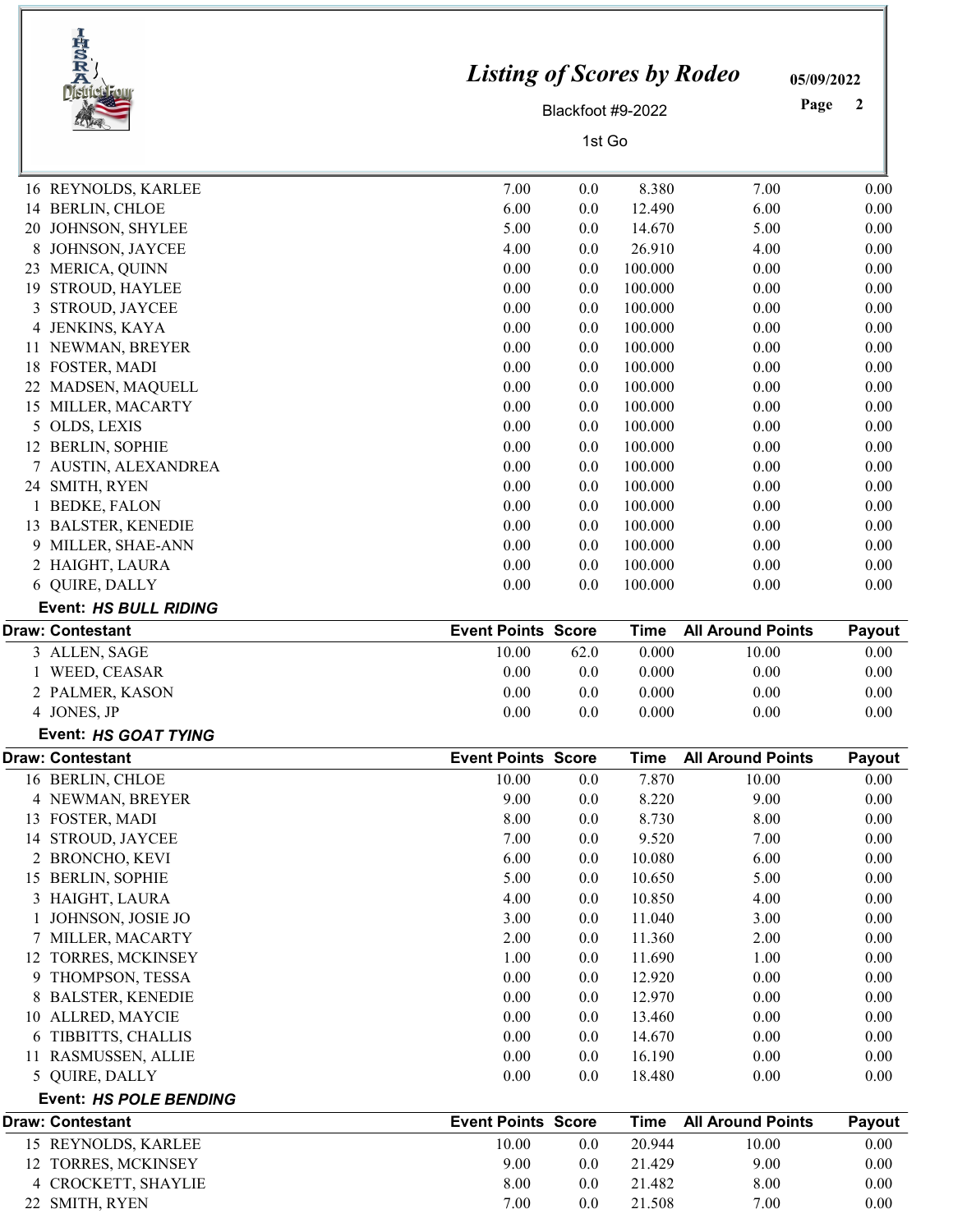|    | IRSRA<br><b>District Fou</b>               | <b>Listing of Scores by Rodeo</b> | Blackfoot #9-2022 |                    |                          | 05/09/2022<br>Page<br>2 |
|----|--------------------------------------------|-----------------------------------|-------------------|--------------------|--------------------------|-------------------------|
|    |                                            |                                   | 1st Go            |                    |                          |                         |
|    | 16 REYNOLDS, KARLEE                        | 7.00                              | 0.0               | 8.380              | 7.00                     | 0.00                    |
|    | 14 BERLIN, CHLOE                           | 6.00                              | 0.0               | 12.490             | 6.00                     | 0.00                    |
|    | 20 JOHNSON, SHYLEE                         | 5.00                              | 0.0               | 14.670             | 5.00                     | 0.00                    |
| 8  | JOHNSON, JAYCEE                            | 4.00                              | 0.0               | 26.910             | 4.00                     | 0.00                    |
| 23 | MERICA, QUINN                              | 0.00                              | 0.0               | 100.000            | 0.00                     | 0.00                    |
| 19 | <b>STROUD, HAYLEE</b>                      | 0.00                              | 0.0               | 100.000            | 0.00                     | 0.00                    |
| 3  | STROUD, JAYCEE                             | 0.00                              | 0.0               | 100.000            | 0.00                     | 0.00                    |
|    | 4 JENKINS, KAYA                            | 0.00                              | 0.0               | 100.000            | 0.00                     | 0.00                    |
|    | 11 NEWMAN, BREYER                          | 0.00                              | 0.0               | 100.000            | 0.00                     | 0.00                    |
|    | 18 FOSTER, MADI                            | 0.00                              | 0.0               | 100.000            | 0.00                     | 0.00                    |
|    | 22 MADSEN, MAQUELL                         | 0.00                              | 0.0               | 100.000            | 0.00                     | 0.00                    |
|    | 15 MILLER, MACARTY                         | 0.00                              | 0.0               | 100.000            | 0.00                     | 0.00                    |
|    | 5 OLDS, LEXIS                              | 0.00                              | 0.0               | 100.000            | 0.00                     | 0.00                    |
|    | 12 BERLIN, SOPHIE                          | 0.00                              | 0.0               | 100.000            | 0.00                     | 0.00                    |
|    | 7 AUSTIN, ALEXANDREA                       | 0.00                              | 0.0               | 100.000            | 0.00                     | 0.00                    |
|    | 24 SMITH, RYEN                             | 0.00                              | 0.0               | 100.000            | 0.00                     | 0.00                    |
|    | 1 BEDKE, FALON                             | 0.00<br>0.00                      | 0.0               | 100.000            | 0.00<br>0.00             | 0.00                    |
|    | 13 BALSTER, KENEDIE<br>9 MILLER, SHAE-ANN  | 0.00                              | 0.0<br>0.0        | 100.000<br>100.000 | 0.00                     | 0.00<br>0.00            |
|    | 2 HAIGHT, LAURA                            | 0.00                              | 0.0               | 100.000            | 0.00                     |                         |
|    | 6 QUIRE, DALLY                             | 0.00                              | 0.0               | 100.000            | 0.00                     | 0.00<br>0.00            |
|    | <b>Event: HS BULL RIDING</b>               |                                   |                   |                    |                          |                         |
|    | <b>Draw: Contestant</b>                    | <b>Event Points Score</b>         |                   | <b>Time</b>        | <b>All Around Points</b> | Payout                  |
|    | 3 ALLEN, SAGE                              | 10.00                             | 62.0              | 0.000              | 10.00                    | 0.00                    |
|    | WEED, CEASAR                               | 0.00                              | 0.0               | 0.000              | 0.00                     | 0.00                    |
|    | 2 PALMER, KASON                            | 0.00                              | 0.0               | 0.000              | 0.00                     | 0.00                    |
|    | 4 JONES, JP                                | $0.00\,$                          | 0.0               | 0.000              | $0.00\,$                 | 0.00                    |
|    | Event: HS GOAT TYING                       |                                   |                   |                    |                          |                         |
|    | <b>Draw: Contestant</b>                    | <b>Event Points Score</b>         |                   | <b>Time</b>        | <b>All Around Points</b> | Payout                  |
|    | 16 BERLIN, CHLOE                           | 10.00                             | 0.0               | 7.870              | 10.00                    | 0.00                    |
|    | 4 NEWMAN, BREYER                           | 9.00                              | 0.0               | 8.220              | 9.00                     | 0.00                    |
|    | 13 FOSTER, MADI                            | 8.00                              | 0.0               | 8.730              | 8.00                     | 0.00                    |
|    | 14 STROUD, JAYCEE                          | 7.00                              | 0.0               | 9.520              | 7.00                     | 0.00                    |
|    | 2 BRONCHO, KEVI                            | 6.00                              | 0.0               | 10.080             | 6.00                     | 0.00                    |
|    | 15 BERLIN, SOPHIE                          | 5.00                              | 0.0               | 10.650             | 5.00                     | 0.00                    |
|    | 3 HAIGHT, LAURA                            | 4.00                              | 0.0               | 10.850             | 4.00                     | 0.00                    |
|    | JOHNSON, JOSIE JO                          | 3.00                              | 0.0               | 11.040             | 3.00                     | 0.00                    |
|    | 7 MILLER, MACARTY                          | 2.00                              | 0.0               | 11.360             | 2.00                     | 0.00                    |
|    | 12 TORRES, MCKINSEY<br>9 THOMPSON, TESSA   | 1.00<br>0.00                      | 0.0<br>0.0        | 11.690<br>12.920   | 1.00<br>0.00             | 0.00<br>0.00            |
|    | 8 BALSTER, KENEDIE                         | 0.00                              | 0.0               | 12.970             | 0.00                     | 0.00                    |
|    | 10 ALLRED, MAYCIE                          | 0.00                              | 0.0               | 13.460             | 0.00                     | 0.00                    |
|    | 6 TIBBITTS, CHALLIS                        | 0.00                              | 0.0               | 14.670             | 0.00                     | 0.00                    |
|    | 11 RASMUSSEN, ALLIE                        | 0.00                              | 0.0               | 16.190             | 0.00                     | 0.00                    |
|    | 5 QUIRE, DALLY                             | 0.00                              | 0.0               | 18.480             | 0.00                     | 0.00                    |
|    | <b>Event: HS POLE BENDING</b>              |                                   |                   |                    |                          |                         |
|    |                                            | <b>Event Points Score</b>         |                   | <b>Time</b>        | <b>All Around Points</b> | Payout                  |
|    | <b>Draw: Contestant</b>                    |                                   |                   |                    |                          |                         |
|    |                                            |                                   |                   |                    |                          |                         |
|    | 15 REYNOLDS, KARLEE                        | 10.00<br>9.00                     | 0.0               | 20.944             | 10.00<br>9.00            | 0.00                    |
|    | 12 TORRES, MCKINSEY<br>4 CROCKETT, SHAYLIE | 8.00                              | 0.0<br>0.0        | 21.429<br>21.482   | 8.00                     | 0.00<br>0.00            |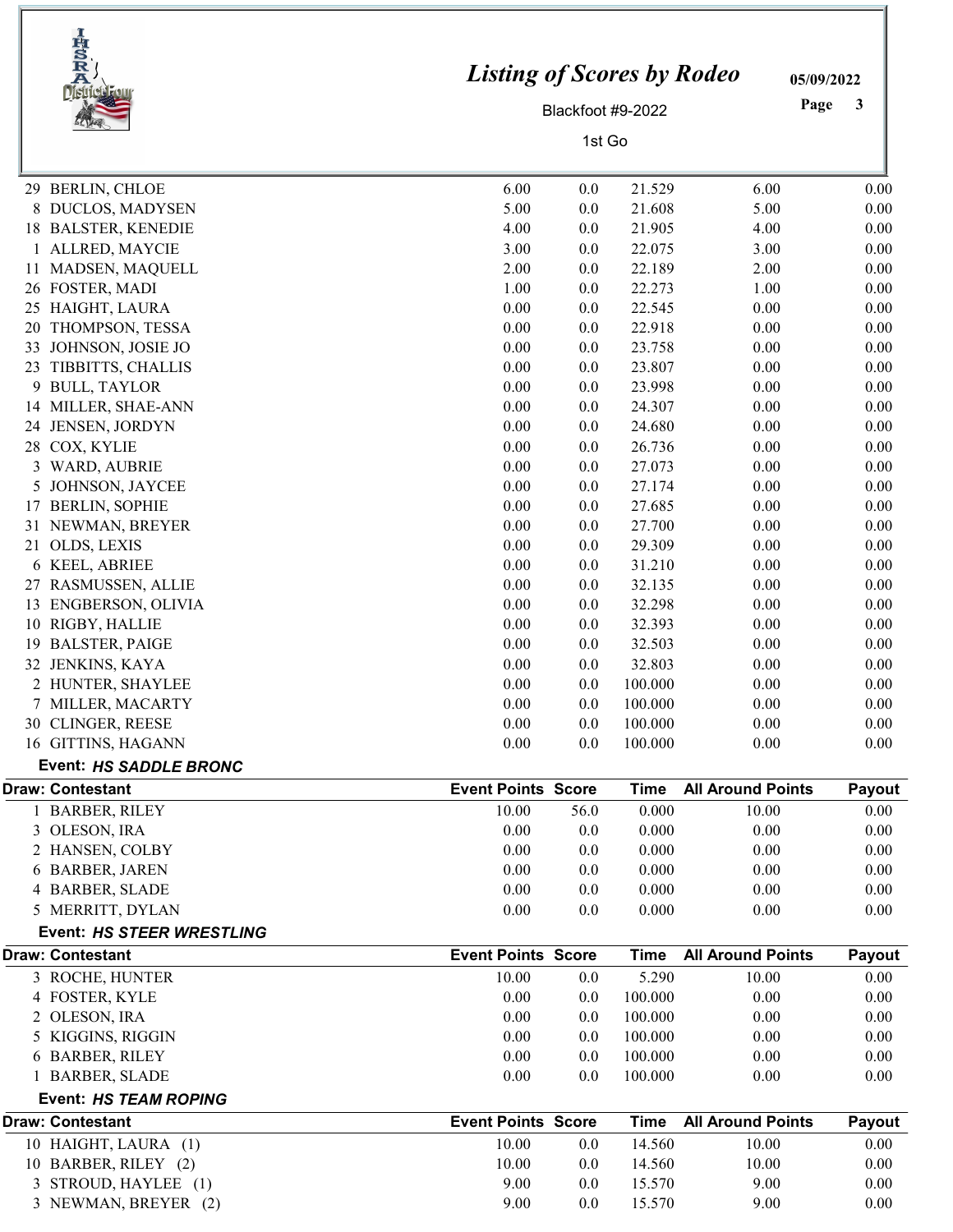|    | IRSRA<br>District Four                        | <b>Listing of Scores by Rodeo</b> |                   |             |                          | 05/09/2022 |
|----|-----------------------------------------------|-----------------------------------|-------------------|-------------|--------------------------|------------|
|    |                                               |                                   | Blackfoot #9-2022 |             |                          | Page<br>3  |
|    |                                               |                                   | 1st Go            |             |                          |            |
|    |                                               |                                   |                   |             |                          |            |
|    | 29 BERLIN, CHLOE                              | 6.00                              | 0.0               | 21.529      | 6.00                     | 0.00       |
| 8  | DUCLOS, MADYSEN                               | 5.00                              | 0.0               | 21.608      | 5.00                     | 0.00       |
| 18 | <b>BALSTER, KENEDIE</b>                       | 4.00                              | 0.0               | 21.905      | 4.00                     | 0.00       |
|    | ALLRED, MAYCIE                                | 3.00                              | 0.0               | 22.075      | 3.00                     | 0.00       |
|    | 11 MADSEN, MAQUELL                            | 2.00                              | 0.0               | 22.189      | 2.00                     | 0.00       |
|    | 26 FOSTER, MADI                               | 1.00                              | 0.0               | 22.273      | 1.00                     | 0.00       |
| 25 | HAIGHT, LAURA                                 | 0.00                              | 0.0               | 22.545      | 0.00                     | 0.00       |
| 20 | THOMPSON, TESSA                               | 0.00                              | 0.0               | 22.918      | 0.00                     | 0.00       |
| 33 | JOHNSON, JOSIE JO                             | 0.00                              | 0.0               | 23.758      | 0.00                     | 0.00       |
| 23 | TIBBITTS, CHALLIS                             | 0.00                              | 0.0               | 23.807      | 0.00                     | 0.00       |
| 9  | <b>BULL, TAYLOR</b>                           | 0.00                              | 0.0               | 23.998      | 0.00                     | 0.00       |
|    | 14 MILLER, SHAE-ANN                           | 0.00                              | 0.0               | 24.307      | 0.00                     | 0.00       |
|    | 24 JENSEN, JORDYN                             | 0.00                              | 0.0               | 24.680      | 0.00                     | 0.00       |
|    | 28 COX, KYLIE                                 | 0.00                              | 0.0               | 26.736      | 0.00                     | 0.00       |
| 3  | WARD, AUBRIE                                  | 0.00                              | 0.0               | 27.073      | 0.00                     | 0.00       |
| 5  | JOHNSON, JAYCEE                               | 0.00                              | 0.0               | 27.174      | 0.00                     | 0.00       |
| 17 | <b>BERLIN, SOPHIE</b>                         | 0.00                              | 0.0               | 27.685      | 0.00                     | 0.00       |
|    | 31 NEWMAN, BREYER                             | 0.00                              | 0.0               | 27.700      | 0.00                     | 0.00       |
| 21 | OLDS, LEXIS                                   | 0.00                              | 0.0               | 29.309      | 0.00                     | 0.00       |
|    | 6 KEEL, ABRIEE                                | 0.00                              | 0.0               | 31.210      | 0.00                     | 0.00       |
|    | 27 RASMUSSEN, ALLIE                           | 0.00                              | 0.0               | 32.135      | 0.00                     | 0.00       |
|    | 13 ENGBERSON, OLIVIA                          | 0.00                              | 0.0               | 32.298      | 0.00                     | 0.00       |
| 10 | RIGBY, HALLIE                                 | 0.00                              | 0.0               | 32.393      | 0.00                     | 0.00       |
| 19 | <b>BALSTER, PAIGE</b>                         | 0.00                              | 0.0               | 32.503      | 0.00                     | 0.00       |
|    | 32 JENKINS, KAYA                              | 0.00                              | 0.0               | 32.803      | 0.00                     | 0.00       |
|    | 2 HUNTER, SHAYLEE                             | 0.00                              | 0.0               | 100.000     | 0.00                     | 0.00       |
|    | 7 MILLER, MACARTY                             | 0.00                              | 0.0               | 100.000     | 0.00                     | 0.00       |
|    | 30 CLINGER, REESE                             | 0.00                              | 0.0               | 100.000     | 0.00                     | 0.00       |
|    | 16 GITTINS, HAGANN                            | 0.00                              | 0.0               | 100.000     | 0.00                     | 0.00       |
|    | Event: HS SADDLE BRONC                        |                                   |                   |             |                          |            |
|    | <b>Draw: Contestant</b>                       | <b>Event Points Score</b>         |                   | <b>Time</b> | <b>All Around Points</b> | Payout     |
|    | 1 BARBER, RILEY                               | 10.00                             | 56.0              | 0.000       | 10.00                    | 0.00       |
|    | 3 OLESON, IRA                                 | 0.00                              | 0.0               | 0.000       | 0.00                     | 0.00       |
|    | 2 HANSEN, COLBY                               | 0.00                              | 0.0               | 0.000       | 0.00                     | 0.00       |
|    | 6 BARBER, JAREN                               | 0.00                              | 0.0               | 0.000       | 0.00                     | 0.00       |
|    | 4 BARBER, SLADE                               | 0.00                              | 0.0               | 0.000       | 0.00                     | 0.00       |
|    | 5 MERRITT, DYLAN<br>Event: HS STEER WRESTLING | 0.00                              | 0.0               | 0.000       | 0.00                     | 0.00       |
|    | <b>Draw: Contestant</b>                       | <b>Event Points Score</b>         |                   | <b>Time</b> | <b>All Around Points</b> | Payout     |
|    | 3 ROCHE, HUNTER                               | 10.00                             | 0.0               | 5.290       | 10.00                    | 0.00       |
|    | 4 FOSTER, KYLE                                | 0.00                              | 0.0               | 100.000     | 0.00                     | 0.00       |
|    | 2 OLESON, IRA                                 | 0.00                              | 0.0               | 100.000     | 0.00                     | 0.00       |
|    | 5 KIGGINS, RIGGIN                             | 0.00                              | 0.0               | 100.000     | 0.00                     | 0.00       |
|    | 6 BARBER, RILEY                               | 0.00                              | 0.0               | 100.000     | 0.00                     | 0.00       |
|    | 1 BARBER, SLADE                               | 0.00                              | 0.0               | 100.000     | 0.00                     | 0.00       |
|    | Event: HS TEAM ROPING                         |                                   |                   |             |                          |            |
|    | <b>Draw: Contestant</b>                       | <b>Event Points Score</b>         |                   | <b>Time</b> | <b>All Around Points</b> | Payout     |
|    | 10 HAIGHT, LAURA (1)                          | 10.00                             | 0.0               | 14.560      | 10.00                    | 0.00       |
|    | 10 BARBER, RILEY (2)                          | 10.00                             | 0.0               | 14.560      | 10.00                    | 0.00       |
|    | 3 STROUD, HAYLEE (1)                          | 9.00                              | 0.0               | 15.570      | 9.00                     | 0.00       |
|    | 3 NEWMAN, BREYER (2)                          | 9.00                              | 0.0               | 15.570      | 9.00                     | 0.00       |
|    |                                               |                                   |                   |             |                          |            |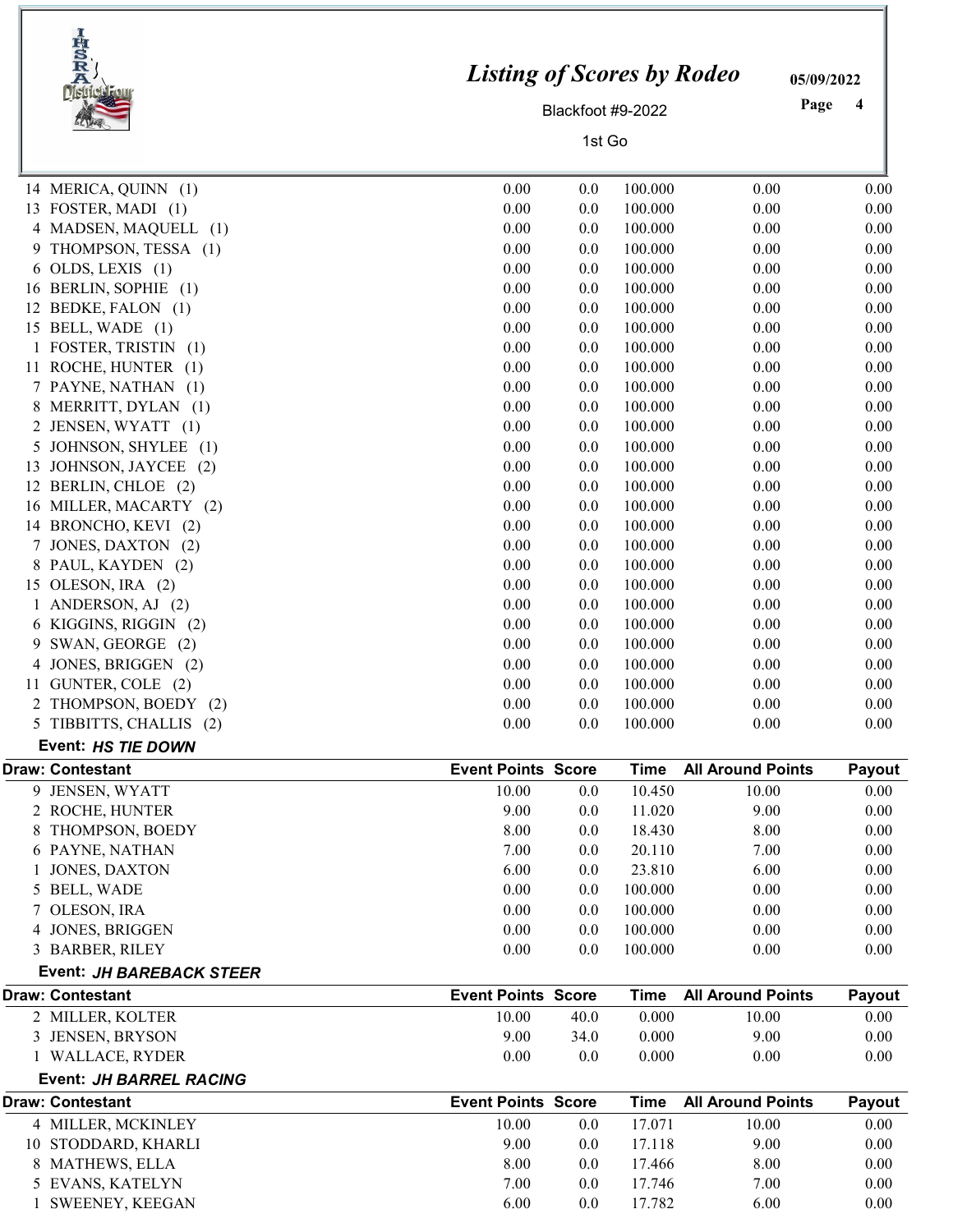| IRSRA |                          | <b>Listing of Scores by Rodeo</b> |                   | 05/09/2022  |                          |           |
|-------|--------------------------|-----------------------------------|-------------------|-------------|--------------------------|-----------|
|       |                          |                                   | Blackfoot #9-2022 |             |                          | Page<br>4 |
|       |                          |                                   | 1st Go            |             |                          |           |
|       |                          |                                   |                   |             |                          |           |
|       | 14 MERICA, QUINN (1)     | 0.00                              | 0.0               | 100.000     | 0.00                     | 0.00      |
|       | 13 FOSTER, MADI (1)      | 0.00                              | 0.0               | 100.000     | 0.00                     | 0.00      |
|       | 4 MADSEN, MAQUELL (1)    | 0.00                              | 0.0               | 100.000     | 0.00                     | 0.00      |
| 9     | THOMPSON, TESSA (1)      | 0.00                              | 0.0               | 100.000     | 0.00                     | 0.00      |
|       | $6$ OLDS, LEXIS $(1)$    | 0.00                              | 0.0               | 100.000     | 0.00                     | 0.00      |
|       | 16 BERLIN, SOPHIE (1)    | 0.00                              | 0.0               | 100.000     | 0.00                     | 0.00      |
|       | 12 BEDKE, FALON (1)      | 0.00                              | 0.0               | 100.000     | 0.00                     | 0.00      |
|       | 15 BELL, WADE (1)        | 0.00                              | 0.0               | 100.000     | 0.00                     | 0.00      |
|       | 1 FOSTER, TRISTIN<br>(1) | 0.00                              | 0.0               | 100.000     | 0.00                     | 0.00      |
|       | 11 ROCHE, HUNTER (1)     | 0.00                              | 0.0               | 100.000     | 0.00                     | 0.00      |
|       | 7 PAYNE, NATHAN<br>(1)   | 0.00                              | 0.0               | 100.000     | 0.00                     | 0.00      |
| 8     | MERRITT, DYLAN (1)       | 0.00                              | 0.0               | 100.000     | 0.00                     | 0.00      |
| 2     | JENSEN, WYATT (1)        | 0.00                              | 0.0               | 100.000     | 0.00                     | 0.00      |
| 5     | JOHNSON, SHYLEE (1)      | 0.00                              | 0.0               | 100.000     | 0.00                     | 0.00      |
| 13    | JOHNSON, JAYCEE (2)      | 0.00                              | 0.0               | 100.000     | 0.00                     | 0.00      |
|       | 12 BERLIN, CHLOE (2)     | 0.00                              | 0.0               | 100.000     | 0.00                     | 0.00      |
| 16    | MILLER, MACARTY (2)      | 0.00                              | 0.0               | 100.000     | 0.00                     | 0.00      |
|       | 14 BRONCHO, KEVI (2)     | 0.00                              | 0.0               | 100.000     | 0.00                     | 0.00      |
| 7     | JONES, DAXTON (2)        | 0.00                              | 0.0               | 100.000     | 0.00                     | 0.00      |
|       | 8 PAUL, KAYDEN (2)       | 0.00                              | 0.0               | 100.000     | 0.00                     | 0.00      |
|       | 15 OLESON, IRA (2)       | 0.00                              | 0.0               | 100.000     | 0.00                     | 0.00      |
|       | ANDERSON, AJ (2)         | 0.00                              | 0.0               | 100.000     | 0.00                     | 0.00      |
|       | 6 KIGGINS, RIGGIN (2)    | 0.00                              | 0.0               | 100.000     | 0.00                     | 0.00      |
| 9     | SWAN, GEORGE (2)         | 0.00                              | 0.0               | 100.000     | 0.00                     | 0.00      |
| 4     | JONES, BRIGGEN (2)       | 0.00                              | 0.0               | 100.000     | 0.00                     | 0.00      |
| 11    | GUNTER, COLE (2)         | 0.00                              | 0.0               | 100.000     | 0.00                     | 0.00      |
|       | 2 THOMPSON, BOEDY<br>(2) | 0.00                              | 0.0               | 100.000     | 0.00                     | 0.00      |
|       | 5 TIBBITTS, CHALLIS (2)  | 0.00                              | 0.0               | 100.000     | 0.00                     | 0.00      |
|       | Event: HS TIE DOWN       |                                   |                   |             |                          |           |
|       | <b>Draw: Contestant</b>  | <b>Event Points Score</b>         |                   | <b>Time</b> | <b>All Around Points</b> | Payout    |
|       | 9 JENSEN, WYATT          | 10.00                             | $0.0\,$           | 10.450      | 10.00                    | $0.00\,$  |
|       | 2 ROCHE, HUNTER          | 9.00                              | $0.0\,$           | 11.020      | 9.00                     | 0.00      |
| 8     | THOMPSON, BOEDY          | 8.00                              | 0.0               | 18.430      | 8.00                     | 0.00      |
|       | 6 PAYNE, NATHAN          | 7.00                              | 0.0               | 20.110      | 7.00                     | 0.00      |
|       | JONES, DAXTON            | 6.00                              | 0.0               | 23.810      | 6.00                     | 0.00      |
|       | 5 BELL, WADE             | 0.00                              | 0.0               | 100.000     | 0.00                     | 0.00      |
|       | OLESON, IRA              | 0.00                              | 0.0               | 100.000     | 0.00                     | 0.00      |
|       | 4 JONES, BRIGGEN         | 0.00                              | 0.0               | 100.000     | 0.00                     | 0.00      |
|       | 3 BARBER, RILEY          | 0.00                              | 0.0               | 100.000     | 0.00                     | 0.00      |
|       | Event: JH BAREBACK STEER |                                   |                   |             |                          |           |
|       | <b>Draw: Contestant</b>  | <b>Event Points Score</b>         |                   | <b>Time</b> | <b>All Around Points</b> | Payout    |
|       | 2 MILLER, KOLTER         | 10.00                             | 40.0              | 0.000       | 10.00                    | 0.00      |
|       | 3 JENSEN, BRYSON         | 9.00                              | 34.0              | 0.000       | 9.00                     | 0.00      |
|       | 1 WALLACE, RYDER         | 0.00                              | 0.0               | 0.000       | 0.00                     | 0.00      |
|       | Event: JH BARREL RACING  |                                   |                   |             |                          |           |
|       | <b>Draw: Contestant</b>  | <b>Event Points Score</b>         |                   | <b>Time</b> | <b>All Around Points</b> | Payout    |
|       | 4 MILLER, MCKINLEY       | 10.00                             | $0.0\,$           | 17.071      | 10.00                    | 0.00      |
|       | 10 STODDARD, KHARLI      | 9.00                              | 0.0               | 17.118      | 9.00                     | 0.00      |
|       | 8 MATHEWS, ELLA          | 8.00                              | 0.0               | 17.466      | 8.00                     | 0.00      |
|       | 5 EVANS, KATELYN         | 7.00                              | 0.0               | 17.746      | 7.00                     | 0.00      |
|       | 1 SWEENEY, KEEGAN        | 6.00                              | 0.0               | 17.782      | 6.00                     | 0.00      |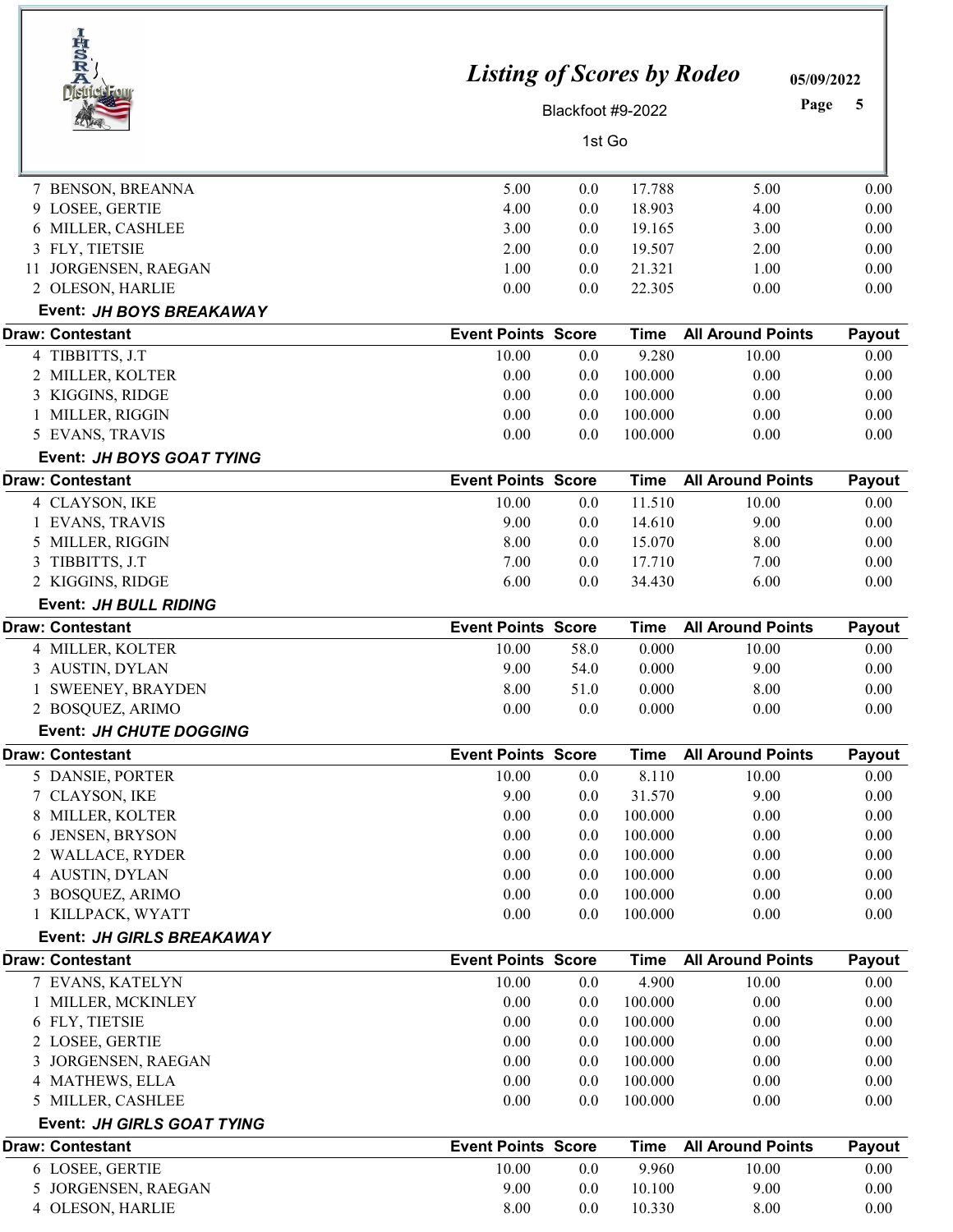| <b>HSR</b><br>Ä            | <b>Listing of Scores by Rodeo</b> |                   |                  |                          | 05/09/2022   |
|----------------------------|-----------------------------------|-------------------|------------------|--------------------------|--------------|
| <b>District F</b>          |                                   | Blackfoot #9-2022 |                  | Page                     | 5            |
|                            |                                   | 1st Go            |                  |                          |              |
|                            |                                   |                   |                  |                          |              |
| 7 BENSON, BREANNA          | 5.00                              | 0.0               | 17.788           | 5.00                     | 0.00         |
| 9 LOSEE, GERTIE            | 4.00                              | 0.0               | 18.903           | 4.00                     | 0.00         |
| 6 MILLER, CASHLEE          | 3.00                              | 0.0               | 19.165           | 3.00                     | 0.00         |
| 3 FLY, TIETSIE             | 2.00                              | $0.0\,$           | 19.507           | 2.00                     | 0.00         |
| 11 JORGENSEN, RAEGAN       | 1.00                              | $0.0\,$           | 21.321           | 1.00                     | 0.00         |
| 2 OLESON, HARLIE           | 0.00                              | 0.0               | 22.305           | 0.00                     | 0.00         |
| Event: JH BOYS BREAKAWAY   |                                   |                   |                  |                          |              |
| <b>Draw: Contestant</b>    | <b>Event Points Score</b>         |                   | <b>Time</b>      | <b>All Around Points</b> | Payout       |
| 4 TIBBITTS, J.T            | 10.00                             | 0.0               | 9.280            | 10.00                    | 0.00         |
| 2 MILLER, KOLTER           | 0.00                              | 0.0               | 100.000          | 0.00                     | 0.00         |
| 3 KIGGINS, RIDGE           | 0.00                              | 0.0               | 100.000          | 0.00                     | 0.00         |
| 1 MILLER, RIGGIN           | 0.00                              | 0.0               | 100.000          | 0.00                     | 0.00         |
| 5 EVANS, TRAVIS            | 0.00                              | 0.0               | 100.000          | 0.00                     | 0.00         |
| Event: JH BOYS GOAT TYING  |                                   |                   |                  |                          |              |
| <b>Draw: Contestant</b>    | <b>Event Points Score</b>         |                   | <b>Time</b>      | <b>All Around Points</b> | Payout       |
| 4 CLAYSON, IKE             | 10.00                             | 0.0               | 11.510           | 10.00                    | 0.00         |
| 1 EVANS, TRAVIS            | 9.00                              | $0.0\,$           | 14.610           | 9.00                     | 0.00         |
| 5 MILLER, RIGGIN           | 8.00                              | 0.0               | 15.070           | 8.00                     | 0.00         |
| 3 TIBBITTS, J.T            | 7.00                              | 0.0               | 17.710           | 7.00                     | 0.00         |
| 2 KIGGINS, RIDGE           | 6.00                              | 0.0               | 34.430           | 6.00                     | 0.00         |
| Event: JH BULL RIDING      |                                   |                   |                  |                          |              |
| <b>Draw: Contestant</b>    | <b>Event Points Score</b>         |                   | <b>Time</b>      | <b>All Around Points</b> | Payout       |
| 4 MILLER, KOLTER           | 10.00                             | 58.0              | 0.000            | 10.00                    | 0.00         |
| 3 AUSTIN, DYLAN            | 9.00                              | 54.0              | 0.000            | 9.00                     | 0.00         |
| 1 SWEENEY, BRAYDEN         | 8.00                              | 51.0              | 0.000            | 8.00                     | 0.00         |
| 2 BOSQUEZ, ARIMO           | 0.00                              | 0.0               | 0.000            | 0.00                     | 0.00         |
| Event: JH CHUTE DOGGING    |                                   |                   |                  |                          |              |
| <b>Draw: Contestant</b>    | <b>Event Points Score</b>         |                   | <b>Time</b>      | <b>All Around Points</b> | Payout       |
| 5 DANSIE, PORTER           | 10.00                             | $0.0\,$           | 8.110            | 10.00                    | 0.00         |
| 7 CLAYSON, IKE             | 9.00                              | 0.0               | 31.570           | 9.00                     | 0.00         |
| 8 MILLER, KOLTER           | 0.00                              | 0.0               | 100.000          | 0.00                     | 0.00         |
| 6 JENSEN, BRYSON           | 0.00                              | 0.0               | 100.000          | 0.00                     | 0.00         |
| 2 WALLACE, RYDER           | 0.00                              | 0.0               | 100.000          | 0.00                     | 0.00         |
| 4 AUSTIN, DYLAN            | 0.00                              | $0.0\,$           | 100.000          | 0.00                     | 0.00         |
| 3 BOSQUEZ, ARIMO           | 0.00                              | $0.0\,$           | 100.000          | 0.00                     | 0.00         |
| 1 KILLPACK, WYATT          | 0.00                              | 0.0               | 100.000          | 0.00                     | 0.00         |
| Event: JH GIRLS BREAKAWAY  |                                   |                   |                  |                          |              |
| <b>Draw: Contestant</b>    | <b>Event Points Score</b>         |                   | <b>Time</b>      | <b>All Around Points</b> | Payout       |
| 7 EVANS, KATELYN           | 10.00                             | $0.0\,$           | 4.900            | 10.00                    | 0.00         |
| 1 MILLER, MCKINLEY         | 0.00                              | 0.0               | 100.000          | 0.00                     | 0.00         |
| 6 FLY, TIETSIE             | 0.00                              | 0.0               | 100.000          | 0.00                     | 0.00         |
| 2 LOSEE, GERTIE            | 0.00                              | 0.0               | 100.000          | 0.00                     | 0.00         |
| 3 JORGENSEN, RAEGAN        | 0.00                              | $0.0\,$           | 100.000          | 0.00                     | 0.00         |
| 4 MATHEWS, ELLA            | 0.00                              | $0.0\,$           | 100.000          | 0.00                     | 0.00         |
| 5 MILLER, CASHLEE          | 0.00                              | $0.0\,$           | 100.000          | 0.00                     | 0.00         |
| Event: JH GIRLS GOAT TYING |                                   |                   |                  |                          |              |
| <b>Draw: Contestant</b>    | <b>Event Points Score</b>         |                   | <b>Time</b>      | <b>All Around Points</b> | Payout       |
| 6 LOSEE, GERTIE            | 10.00                             | $0.0\,$           | 9.960            | 10.00                    | 0.00         |
| 5 JORGENSEN, RAEGAN        | 9.00<br>8.00                      | 0.0<br>0.0        | 10.100<br>10.330 | 9.00<br>8.00             | 0.00<br>0.00 |
| 4 OLESON, HARLIE           |                                   |                   |                  |                          |              |